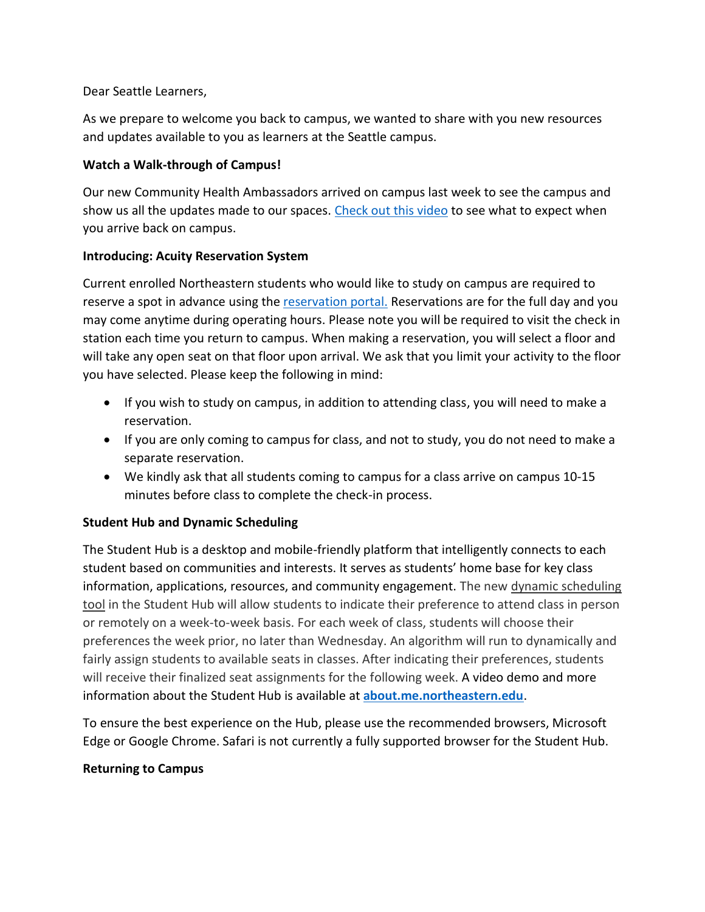## Dear Seattle Learners,

As we prepare to welcome you back to campus, we wanted to share with you new resources and updates available to you as learners at the Seattle campus.

## **Watch a Walk-through of Campus!**

Our new Community Health Ambassadors arrived on campus last week to see the campus and show us all the updates made to our spaces. [Check out this video](https://www.youtube.com/watch?v=dYynwedffmA&feature=youtu.be) to see what to expect when you arrive back on campus.

## **Introducing: Acuity Reservation System**

Current enrolled Northeastern students who would like to study on campus are required to reserve a spot in advance using the [reservation portal.](https://nuseattle.as.me/schedule.php?appointmentType=category%3ASeattle+Study) Reservations are for the full day and you may come anytime during operating hours. Please note you will be required to visit the check in station each time you return to campus. When making a reservation, you will select a floor and will take any open seat on that floor upon arrival. We ask that you limit your activity to the floor you have selected. Please keep the following in mind:

- If you wish to study on campus, in addition to attending class, you will need to make a reservation.
- If you are only coming to campus for class, and not to study, you do not need to make a separate reservation.
- We kindly ask that all students coming to campus for a class arrive on campus 10-15 minutes before class to complete the check-in process.

# **Student Hub and Dynamic Scheduling**

The Student Hub is a desktop and mobile-friendly platform that intelligently connects to each student based on communities and interests. It serves as students' home base for key class information, applications, resources, and community engagement. The new dynamic scheduling [tool](https://nuflex.northeastern.edu/dynamic-scheduling/) in the Student Hub will allow students to indicate their preference to attend class in person or remotely on a week-to-week basis. For each week of class, students will choose their preferences the week prior, no later than Wednesday. An algorithm will run to dynamically and fairly assign students to available seats in classes. After indicating their preferences, students will receive their finalized seat assignments for the following week. A video demo and more information about the Student Hub is available at **about.me.northeastern.edu**.

To ensure the best experience on the Hub, please use the recommended browsers, Microsoft Edge or Google Chrome. Safari is not currently a fully supported browser for the Student Hub.

# **Returning to Campus**